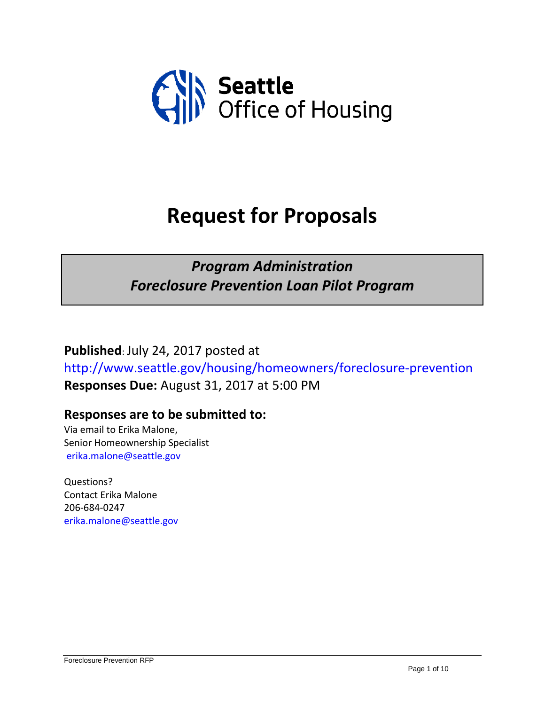

# **Request for Proposals**

### *Program Administration Foreclosure Prevention Loan Pilot Program*

**Published**: July 24, 2017 posted at <http://www.seattle.gov/housing/homeowners/foreclosure-prevention> **Responses Due:** August 31, 2017 at 5:00 PM

#### **Responses are to be submitted to:**

Via email to Erika Malone, Senior Homeownership Specialist [erika.malone@seattle.gov](mailto:erika.malone@seattle.gov)

Questions? Contact Erika Malone 206-684-0247 [erika.malone@seattle.gov](mailto:erika.malone@seattle.gov)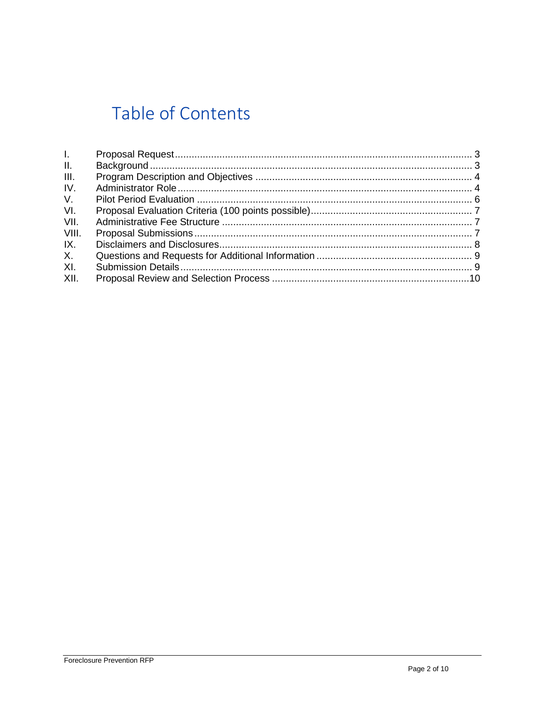## Table of Contents

| $\mathbf{L}$ |  |
|--------------|--|
| II.          |  |
| III.         |  |
| IV.          |  |
| V.           |  |
| VI.          |  |
| VII.         |  |
| VIII.        |  |
| IX.          |  |
| X.           |  |
| XI.          |  |
| XII.         |  |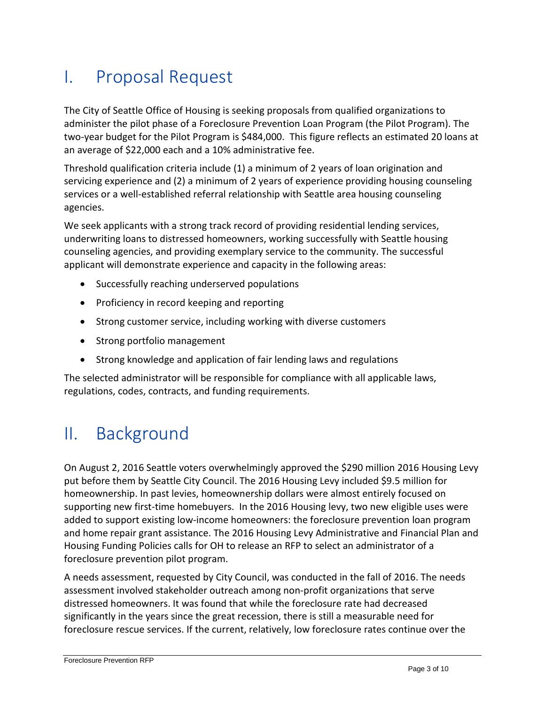### <span id="page-2-0"></span>I. Proposal Request

The City of Seattle Office of Housing is seeking proposals from qualified organizations to administer the pilot phase of a Foreclosure Prevention Loan Program (the Pilot Program). The two-year budget for the Pilot Program is \$484,000. This figure reflects an estimated 20 loans at an average of \$22,000 each and a 10% administrative fee.

Threshold qualification criteria include (1) a minimum of 2 years of loan origination and servicing experience and (2) a minimum of 2 years of experience providing housing counseling services or a well-established referral relationship with Seattle area housing counseling agencies.

We seek applicants with a strong track record of providing residential lending services, underwriting loans to distressed homeowners, working successfully with Seattle housing counseling agencies, and providing exemplary service to the community. The successful applicant will demonstrate experience and capacity in the following areas:

- Successfully reaching underserved populations
- Proficiency in record keeping and reporting
- Strong customer service, including working with diverse customers
- Strong portfolio management
- Strong knowledge and application of fair lending laws and regulations

The selected administrator will be responsible for compliance with all applicable laws, regulations, codes, contracts, and funding requirements.

### <span id="page-2-1"></span>II. Background

On August 2, 2016 Seattle voters overwhelmingly approved the \$290 million 2016 Housing Levy put before them by Seattle City Council. The 2016 Housing Levy included \$9.5 million for homeownership. In past levies, homeownership dollars were almost entirely focused on supporting new first-time homebuyers. In the 2016 Housing levy, two new eligible uses were added to support existing low-income homeowners: the foreclosure prevention loan program and home repair grant assistance. The 2016 Housing Levy Administrative and Financial Plan and Housing Funding Policies calls for OH to release an RFP to select an administrator of a foreclosure prevention pilot program.

A needs assessment, requested by City Council, was conducted in the fall of 2016. The needs assessment involved stakeholder outreach among non-profit organizations that serve distressed homeowners. It was found that while the foreclosure rate had decreased significantly in the years since the great recession, there is still a measurable need for foreclosure rescue services. If the current, relatively, low foreclosure rates continue over the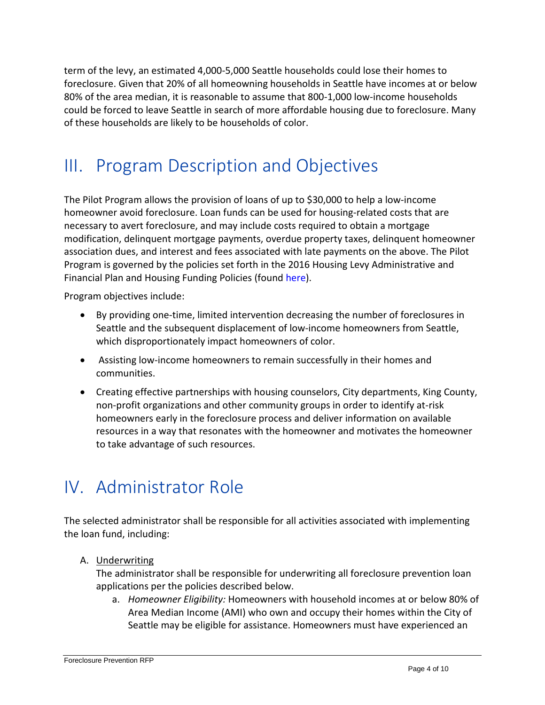term of the levy, an estimated 4,000-5,000 Seattle households could lose their homes to foreclosure. Given that 20% of all homeowning households in Seattle have incomes at or below 80% of the area median, it is reasonable to assume that 800-1,000 low-income households could be forced to leave Seattle in search of more affordable housing due to foreclosure. Many of these households are likely to be households of color.

### <span id="page-3-0"></span>III. Program Description and Objectives

The Pilot Program allows the provision of loans of up to \$30,000 to help a low-income homeowner avoid foreclosure. Loan funds can be used for housing-related costs that are necessary to avert foreclosure, and may include costs required to obtain a mortgage modification, delinquent mortgage payments, overdue property taxes, delinquent homeowner association dues, and interest and fees associated with late payments on the above. The Pilot Program is governed by the policies set forth in the 2016 Housing Levy Administrative and Financial Plan and Housing Funding Policies (found [here\)](https://www.seattle.gov/housing/levy).

Program objectives include:

- By providing one-time, limited intervention decreasing the number of foreclosures in Seattle and the subsequent displacement of low-income homeowners from Seattle, which disproportionately impact homeowners of color.
- Assisting low-income homeowners to remain successfully in their homes and communities.
- Creating effective partnerships with housing counselors, City departments, King County, non-profit organizations and other community groups in order to identify at-risk homeowners early in the foreclosure process and deliver information on available resources in a way that resonates with the homeowner and motivates the homeowner to take advantage of such resources.

### <span id="page-3-1"></span>IV. Administrator Role

The selected administrator shall be responsible for all activities associated with implementing the loan fund, including:

A. Underwriting

The administrator shall be responsible for underwriting all foreclosure prevention loan applications per the policies described below.

a. *Homeowner Eligibility:* Homeowners with household incomes at or below 80% of Area Median Income (AMI) who own and occupy their homes within the City of Seattle may be eligible for assistance. Homeowners must have experienced an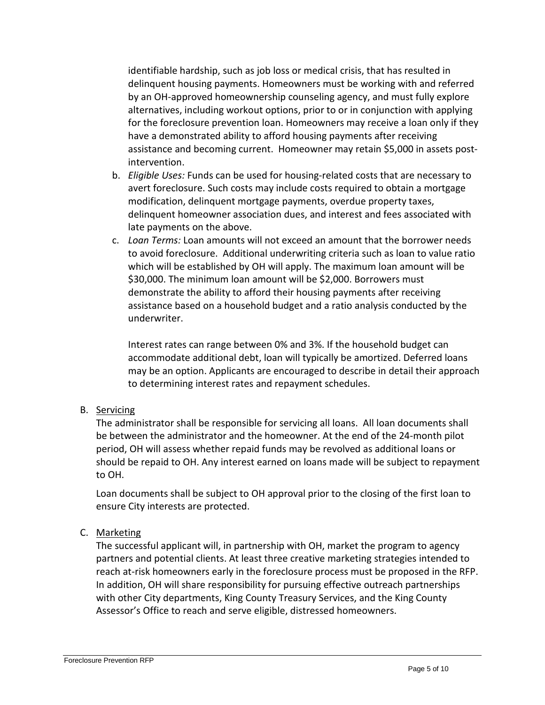identifiable hardship, such as job loss or medical crisis, that has resulted in delinquent housing payments. Homeowners must be working with and referred by an OH-approved homeownership counseling agency, and must fully explore alternatives, including workout options, prior to or in conjunction with applying for the foreclosure prevention loan. Homeowners may receive a loan only if they have a demonstrated ability to afford housing payments after receiving assistance and becoming current. Homeowner may retain \$5,000 in assets postintervention.

- b. *Eligible Uses:* Funds can be used for housing-related costs that are necessary to avert foreclosure. Such costs may include costs required to obtain a mortgage modification, delinquent mortgage payments, overdue property taxes, delinquent homeowner association dues, and interest and fees associated with late payments on the above.
- c. *Loan Terms:* Loan amounts will not exceed an amount that the borrower needs to avoid foreclosure. Additional underwriting criteria such as loan to value ratio which will be established by OH will apply. The maximum loan amount will be \$30,000. The minimum loan amount will be \$2,000. Borrowers must demonstrate the ability to afford their housing payments after receiving assistance based on a household budget and a ratio analysis conducted by the underwriter.

Interest rates can range between 0% and 3%. If the household budget can accommodate additional debt, loan will typically be amortized. Deferred loans may be an option. Applicants are encouraged to describe in detail their approach to determining interest rates and repayment schedules.

#### B. Servicing

The administrator shall be responsible for servicing all loans. All loan documents shall be between the administrator and the homeowner. At the end of the 24-month pilot period, OH will assess whether repaid funds may be revolved as additional loans or should be repaid to OH. Any interest earned on loans made will be subject to repayment to OH.

Loan documents shall be subject to OH approval prior to the closing of the first loan to ensure City interests are protected.

#### C. Marketing

The successful applicant will, in partnership with OH, market the program to agency partners and potential clients. At least three creative marketing strategies intended to reach at-risk homeowners early in the foreclosure process must be proposed in the RFP. In addition, OH will share responsibility for pursuing effective outreach partnerships with other City departments, King County Treasury Services, and the King County Assessor's Office to reach and serve eligible, distressed homeowners.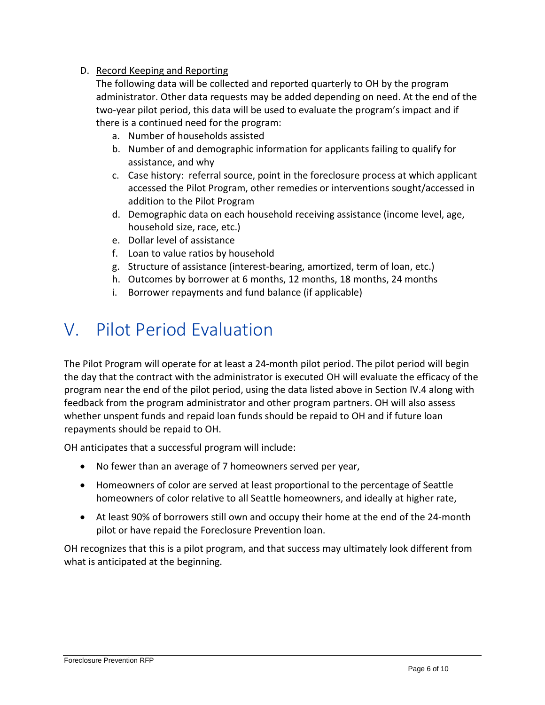#### D. Record Keeping and Reporting

The following data will be collected and reported quarterly to OH by the program administrator. Other data requests may be added depending on need. At the end of the two-year pilot period, this data will be used to evaluate the program's impact and if there is a continued need for the program:

- a. Number of households assisted
- b. Number of and demographic information for applicants failing to qualify for assistance, and why
- c. Case history: referral source, point in the foreclosure process at which applicant accessed the Pilot Program, other remedies or interventions sought/accessed in addition to the Pilot Program
- d. Demographic data on each household receiving assistance (income level, age, household size, race, etc.)
- e. Dollar level of assistance
- f. Loan to value ratios by household
- g. Structure of assistance (interest-bearing, amortized, term of loan, etc.)
- h. Outcomes by borrower at 6 months, 12 months, 18 months, 24 months
- i. Borrower repayments and fund balance (if applicable)

### <span id="page-5-0"></span>V. Pilot Period Evaluation

The Pilot Program will operate for at least a 24-month pilot period. The pilot period will begin the day that the contract with the administrator is executed OH will evaluate the efficacy of the program near the end of the pilot period, using the data listed above in Section IV.4 along with feedback from the program administrator and other program partners. OH will also assess whether unspent funds and repaid loan funds should be repaid to OH and if future loan repayments should be repaid to OH.

OH anticipates that a successful program will include:

- No fewer than an average of 7 homeowners served per year,
- Homeowners of color are served at least proportional to the percentage of Seattle homeowners of color relative to all Seattle homeowners, and ideally at higher rate,
- At least 90% of borrowers still own and occupy their home at the end of the 24-month pilot or have repaid the Foreclosure Prevention loan.

OH recognizes that this is a pilot program, and that success may ultimately look different from what is anticipated at the beginning.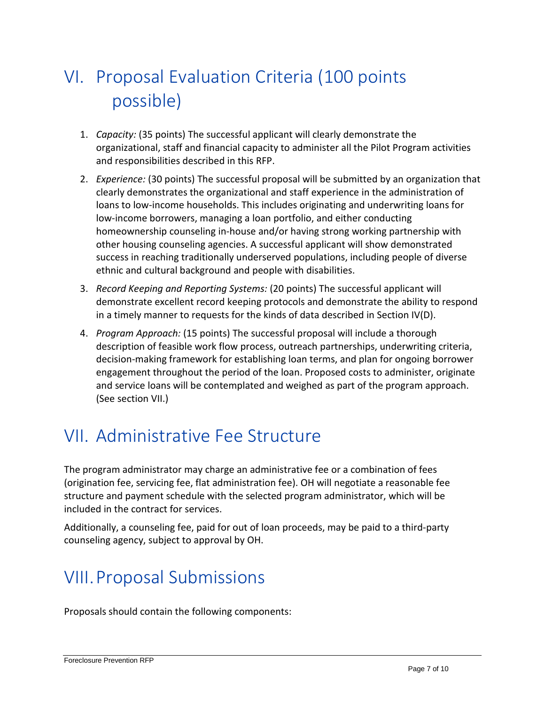# <span id="page-6-0"></span>VI. Proposal Evaluation Criteria (100 points possible)

- 1. *Capacity:* (35 points) The successful applicant will clearly demonstrate the organizational, staff and financial capacity to administer all the Pilot Program activities and responsibilities described in this RFP.
- 2. *Experience:* (30 points) The successful proposal will be submitted by an organization that clearly demonstrates the organizational and staff experience in the administration of loans to low-income households. This includes originating and underwriting loans for low-income borrowers, managing a loan portfolio, and either conducting homeownership counseling in-house and/or having strong working partnership with other housing counseling agencies. A successful applicant will show demonstrated success in reaching traditionally underserved populations, including people of diverse ethnic and cultural background and people with disabilities.
- 3. *Record Keeping and Reporting Systems:* (20 points) The successful applicant will demonstrate excellent record keeping protocols and demonstrate the ability to respond in a timely manner to requests for the kinds of data described in Section IV(D).
- 4. *Program Approach:* (15 points) The successful proposal will include a thorough description of feasible work flow process, outreach partnerships, underwriting criteria, decision-making framework for establishing loan terms, and plan for ongoing borrower engagement throughout the period of the loan. Proposed costs to administer, originate and service loans will be contemplated and weighed as part of the program approach. (See section VII.)

### <span id="page-6-1"></span>VII. Administrative Fee Structure

The program administrator may charge an administrative fee or a combination of fees (origination fee, servicing fee, flat administration fee). OH will negotiate a reasonable fee structure and payment schedule with the selected program administrator, which will be included in the contract for services.

Additionally, a counseling fee, paid for out of loan proceeds, may be paid to a third-party counseling agency, subject to approval by OH.

### <span id="page-6-2"></span>VIII.Proposal Submissions

Proposals should contain the following components: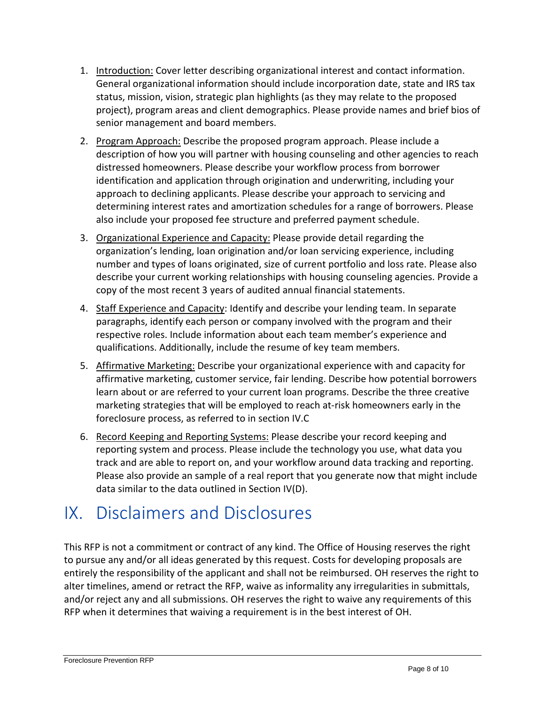- 1. Introduction: Cover letter describing organizational interest and contact information. General organizational information should include incorporation date, state and IRS tax status, mission, vision, strategic plan highlights (as they may relate to the proposed project), program areas and client demographics. Please provide names and brief bios of senior management and board members.
- 2. Program Approach: Describe the proposed program approach. Please include a description of how you will partner with housing counseling and other agencies to reach distressed homeowners. Please describe your workflow process from borrower identification and application through origination and underwriting, including your approach to declining applicants. Please describe your approach to servicing and determining interest rates and amortization schedules for a range of borrowers. Please also include your proposed fee structure and preferred payment schedule.
- 3. Organizational Experience and Capacity: Please provide detail regarding the organization's lending, loan origination and/or loan servicing experience, including number and types of loans originated, size of current portfolio and loss rate. Please also describe your current working relationships with housing counseling agencies. Provide a copy of the most recent 3 years of audited annual financial statements.
- 4. Staff Experience and Capacity: Identify and describe your lending team. In separate paragraphs, identify each person or company involved with the program and their respective roles. Include information about each team member's experience and qualifications. Additionally, include the resume of key team members.
- 5. Affirmative Marketing: Describe your organizational experience with and capacity for affirmative marketing, customer service, fair lending. Describe how potential borrowers learn about or are referred to your current loan programs. Describe the three creative marketing strategies that will be employed to reach at-risk homeowners early in the foreclosure process, as referred to in section IV.C
- 6. Record Keeping and Reporting Systems: Please describe your record keeping and reporting system and process. Please include the technology you use, what data you track and are able to report on, and your workflow around data tracking and reporting. Please also provide an sample of a real report that you generate now that might include data similar to the data outlined in Section IV(D).

### <span id="page-7-0"></span>IX. Disclaimers and Disclosures

This RFP is not a commitment or contract of any kind. The Office of Housing reserves the right to pursue any and/or all ideas generated by this request. Costs for developing proposals are entirely the responsibility of the applicant and shall not be reimbursed. OH reserves the right to alter timelines, amend or retract the RFP, waive as informality any irregularities in submittals, and/or reject any and all submissions. OH reserves the right to waive any requirements of this RFP when it determines that waiving a requirement is in the best interest of OH.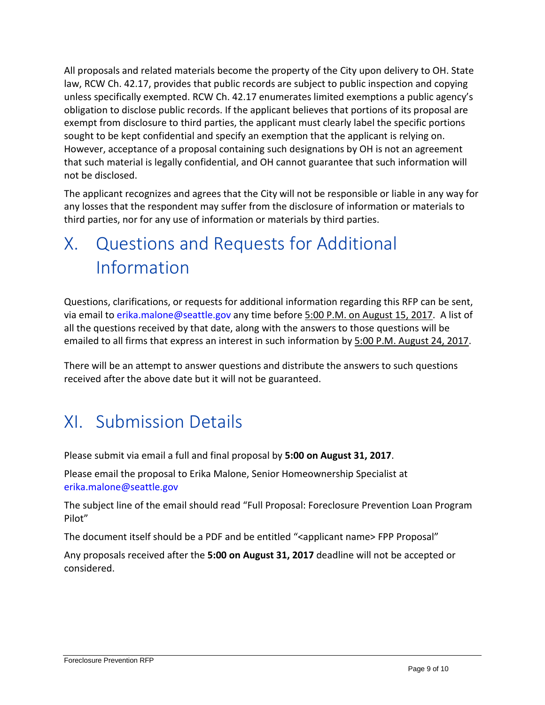All proposals and related materials become the property of the City upon delivery to OH. State law, RCW Ch. 42.17, provides that public records are subject to public inspection and copying unless specifically exempted. RCW Ch. 42.17 enumerates limited exemptions a public agency's obligation to disclose public records. If the applicant believes that portions of its proposal are exempt from disclosure to third parties, the applicant must clearly label the specific portions sought to be kept confidential and specify an exemption that the applicant is relying on. However, acceptance of a proposal containing such designations by OH is not an agreement that such material is legally confidential, and OH cannot guarantee that such information will not be disclosed.

The applicant recognizes and agrees that the City will not be responsible or liable in any way for any losses that the respondent may suffer from the disclosure of information or materials to third parties, nor for any use of information or materials by third parties.

# <span id="page-8-0"></span>X. Questions and Requests for Additional Information

Questions, clarifications, or requests for additional information regarding this RFP can be sent, via email to [erika.malone@seattle.gov](mailto:erika.malone@seattle.gov) any time before 5:00 P.M. on August 15, 2017. A list of all the questions received by that date, along with the answers to those questions will be emailed to all firms that express an interest in such information by 5:00 P.M. August 24, 2017.

There will be an attempt to answer questions and distribute the answers to such questions received after the above date but it will not be guaranteed.

### <span id="page-8-1"></span>XI. Submission Details

Please submit via email a full and final proposal by **5:00 on August 31, 2017**.

Please email the proposal to Erika Malone, Senior Homeownership Specialist at [erika.malone@seattle.gov](mailto:erika.malone@seattle.gov)

The subject line of the email should read "Full Proposal: Foreclosure Prevention Loan Program Pilot"

The document itself should be a PDF and be entitled "<applicant name> FPP Proposal"

Any proposals received after the **5:00 on August 31, 2017** deadline will not be accepted or considered.